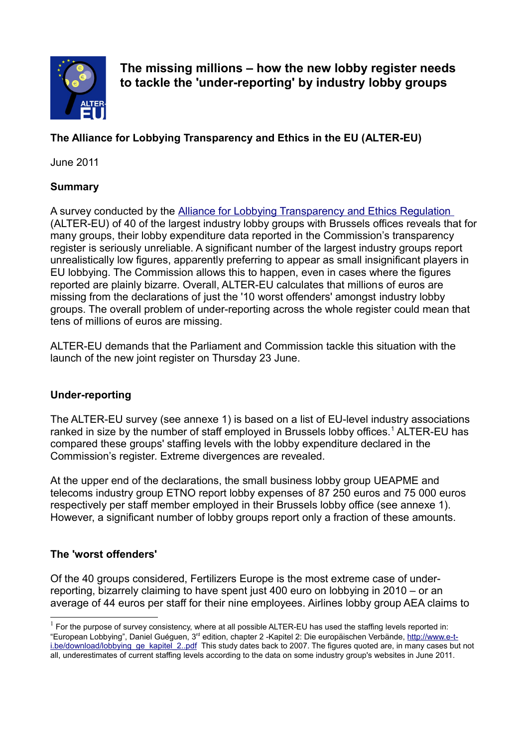

**The missing millions – how the new lobby register needs to tackle the 'under-reporting' by industry lobby groups**

# **The Alliance for Lobbying Transparency and Ethics in the EU (ALTER-EU)**

June 2011

#### **Summary**

A survey conducted by the [Alliance for Lobbying Transparency and Ethics Regulation](http://www.alter-eu.org/) (ALTER-EU) of 40 of the largest industry lobby groups with Brussels offices reveals that for many groups, their lobby expenditure data reported in the Commission's transparency register is seriously unreliable. A significant number of the largest industry groups report unrealistically low figures, apparently preferring to appear as small insignificant players in EU lobbying. The Commission allows this to happen, even in cases where the figures reported are plainly bizarre. Overall, ALTER-EU calculates that millions of euros are missing from the declarations of just the '10 worst offenders' amongst industry lobby groups. The overall problem of under-reporting across the whole register could mean that tens of millions of euros are missing.

ALTER-EU demands that the Parliament and Commission tackle this situation with the launch of the new joint register on Thursday 23 June.

#### **Under-reporting**

The ALTER-EU survey (see annexe 1) is based on a list of EU-level industry associations ranked in size by the number of staff employed in Brussels lobby offices.<sup>[1](#page-0-0)</sup> ALTER-EU has compared these groups' staffing levels with the lobby expenditure declared in the Commission's register. Extreme divergences are revealed.

At the upper end of the declarations, the small business lobby group UEAPME and telecoms industry group ETNO report lobby expenses of 87 250 euros and 75 000 euros respectively per staff member employed in their Brussels lobby office (see annexe 1). However, a significant number of lobby groups report only a fraction of these amounts.

#### **The 'worst offenders'**

Of the 40 groups considered, Fertilizers Europe is the most extreme case of underreporting, bizarrely claiming to have spent just 400 euro on lobbying in 2010 – or an average of 44 euros per staff for their nine employees. Airlines lobby group AEA claims to

<span id="page-0-0"></span> $1$  For the purpose of survey consistency, where at all possible ALTER-EU has used the staffing levels reported in: "European Lobbying", Daniel Guéguen, 3rd edition, chapter 2 -Kapitel 2: Die europäischen Verbände, [http://www.e-t](http://www.e-t-i.be/download/lobbying_ge_kapitel_2..pdf)[i.be/download/lobbying\\_ge\\_kapitel\\_2..pdf](http://www.e-t-i.be/download/lobbying_ge_kapitel_2..pdf) This study dates back to 2007. The figures quoted are, in many cases but not all, underestimates of current staffing levels according to the data on some industry group's websites in June 2011.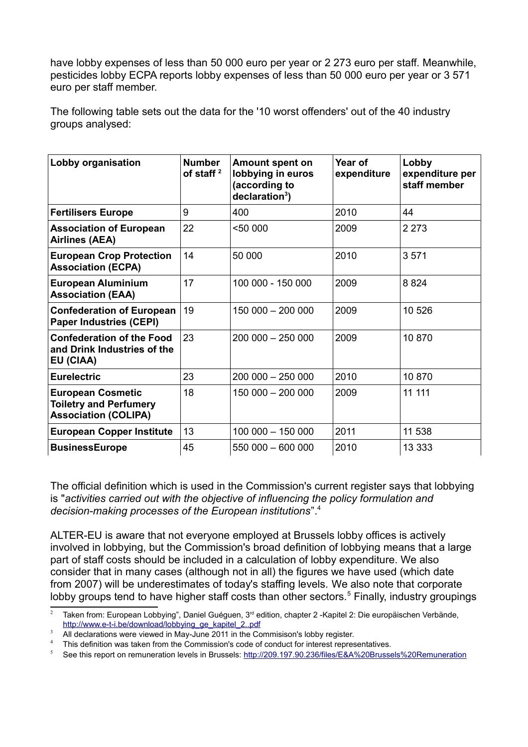have lobby expenses of less than 50 000 euro per year or 2 273 euro per staff. Meanwhile, pesticides lobby ECPA reports lobby expenses of less than 50 000 euro per year or 3 571 euro per staff member.

The following table sets out the data for the '10 worst offenders' out of the 40 industry groups analysed:

| Lobby organisation                                                                       | <b>Number</b><br>of staff <sup>2</sup> | <b>Amount spent on</b><br>lobbying in euros<br>(according to<br>$decaration3$ ) | Year of<br>expenditure | Lobby<br>expenditure per<br>staff member |
|------------------------------------------------------------------------------------------|----------------------------------------|---------------------------------------------------------------------------------|------------------------|------------------------------------------|
| <b>Fertilisers Europe</b>                                                                | 9                                      | 400                                                                             | 2010                   | 44                                       |
| <b>Association of European</b><br><b>Airlines (AEA)</b>                                  | 22                                     | $5000$                                                                          | 2009                   | 2 2 7 3                                  |
| <b>European Crop Protection</b><br><b>Association (ECPA)</b>                             | 14                                     | 50 000                                                                          | 2010                   | 3571                                     |
| <b>European Aluminium</b><br><b>Association (EAA)</b>                                    | 17                                     | 100 000 - 150 000                                                               | 2009                   | 8824                                     |
| <b>Confederation of European</b><br><b>Paper Industries (CEPI)</b>                       | 19                                     | 150 000 - 200 000                                                               | 2009                   | 10 526                                   |
| <b>Confederation of the Food</b><br>and Drink Industries of the<br>EU (CIAA)             | 23                                     | $200000 - 25000$                                                                | 2009                   | 10 870                                   |
| <b>Eurelectric</b>                                                                       | 23                                     | 200 000 - 250 000                                                               | 2010                   | 10870                                    |
| <b>European Cosmetic</b><br><b>Toiletry and Perfumery</b><br><b>Association (COLIPA)</b> | 18                                     | 150 000 - 200 000                                                               | 2009                   | 11 111                                   |
| <b>European Copper Institute</b>                                                         | 13                                     | 100 000 - 150 000                                                               | 2011                   | 11 538                                   |
| <b>BusinessEurope</b>                                                                    | 45                                     | 550 000 - 600 000                                                               | 2010                   | 13 333                                   |

The official definition which is used in the Commission's current register says that lobbying is "*activities carried out with the objective of influencing the policy formulation and decision-making processes of the European institutions*".[4](#page-1-2)

ALTER-EU is aware that not everyone employed at Brussels lobby offices is actively involved in lobbying, but the Commission's broad definition of lobbying means that a large part of staff costs should be included in a calculation of lobby expenditure. We also consider that in many cases (although not in all) the figures we have used (which date from 2007) will be underestimates of today's staffing levels. We also note that corporate lobby groups tend to have higher staff costs than other sectors.<sup>[5](#page-1-3)</sup> Finally, industry groupings

<span id="page-1-0"></span>Taken from: European Lobbying", Daniel Guéguen, 3<sup>rd</sup> edition, chapter 2 -Kapitel 2: Die europäischen Verbände, http://www.e-t-i.be/download/lobbying\_ge\_kapitel\_2..pdf

<span id="page-1-1"></span>All declarations were viewed in May-June 2011 in the Commisison's lobby register.

<span id="page-1-2"></span>This definition was taken from the Commission's code of conduct for interest representatives.

<span id="page-1-3"></span><sup>5</sup> See this report on remuneration levels in Brussels: [http://209.197.90.236/files/E&A%20Brussels%20Remuneration](http://209.197.90.236/files/E&A%20Brussels%20Remuneration%20Report.pdf)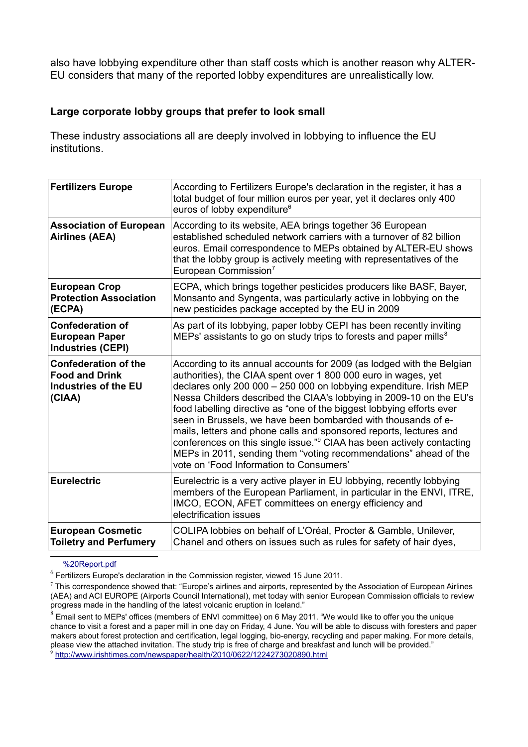also have lobbying expenditure other than staff costs which is another reason why ALTER-EU considers that many of the reported lobby expenditures are unrealistically low.

#### **Large corporate lobby groups that prefer to look small**

These industry associations all are deeply involved in lobbying to influence the EU institutions.

| <b>Fertilizers Europe</b>                                                              | According to Fertilizers Europe's declaration in the register, it has a<br>total budget of four million euros per year, yet it declares only 400<br>euros of lobby expenditure <sup>6</sup>                                                                                                                                                                                                                                                                                                                                                                                                                                                                                                              |
|----------------------------------------------------------------------------------------|----------------------------------------------------------------------------------------------------------------------------------------------------------------------------------------------------------------------------------------------------------------------------------------------------------------------------------------------------------------------------------------------------------------------------------------------------------------------------------------------------------------------------------------------------------------------------------------------------------------------------------------------------------------------------------------------------------|
| <b>Association of European</b><br><b>Airlines (AEA)</b>                                | According to its website, AEA brings together 36 European<br>established scheduled network carriers with a turnover of 82 billion<br>euros. Email correspondence to MEPs obtained by ALTER-EU shows<br>that the lobby group is actively meeting with representatives of the<br>European Commission <sup>7</sup>                                                                                                                                                                                                                                                                                                                                                                                          |
| <b>European Crop</b><br><b>Protection Association</b><br>(ECPA)                        | ECPA, which brings together pesticides producers like BASF, Bayer,<br>Monsanto and Syngenta, was particularly active in lobbying on the<br>new pesticides package accepted by the EU in 2009                                                                                                                                                                                                                                                                                                                                                                                                                                                                                                             |
| <b>Confederation of</b><br><b>European Paper</b><br><b>Industries (CEPI)</b>           | As part of its lobbying, paper lobby CEPI has been recently inviting<br>MEPs' assistants to go on study trips to forests and paper mills <sup>8</sup>                                                                                                                                                                                                                                                                                                                                                                                                                                                                                                                                                    |
| <b>Confederation of the</b><br><b>Food and Drink</b><br>Industries of the EU<br>(CIAA) | According to its annual accounts for 2009 (as lodged with the Belgian<br>authorities), the CIAA spent over 1 800 000 euro in wages, yet<br>declares only 200 000 - 250 000 on lobbying expenditure. Irish MEP<br>Nessa Childers described the CIAA's lobbying in 2009-10 on the EU's<br>food labelling directive as "one of the biggest lobbying efforts ever<br>seen in Brussels, we have been bombarded with thousands of e-<br>mails, letters and phone calls and sponsored reports, lectures and<br>conferences on this single issue." <sup>9</sup> CIAA has been actively contacting<br>MEPs in 2011, sending them "voting recommendations" ahead of the<br>vote on 'Food Information to Consumers' |
| <b>Eurelectric</b>                                                                     | Eurelectric is a very active player in EU lobbying, recently lobbying<br>members of the European Parliament, in particular in the ENVI, ITRE,<br>IMCO, ECON, AFET committees on energy efficiency and<br>electrification issues                                                                                                                                                                                                                                                                                                                                                                                                                                                                          |
| <b>European Cosmetic</b><br><b>Toiletry and Perfumery</b>                              | COLIPA lobbies on behalf of L'Oréal, Procter & Gamble, Unilever,<br>Chanel and others on issues such as rules for safety of hair dyes,                                                                                                                                                                                                                                                                                                                                                                                                                                                                                                                                                                   |

[%20Report.pdf](http://209.197.90.236/files/E&A%20Brussels%20Remuneration%20Report.pdf)

<span id="page-2-0"></span> $^6$  Fertilizers Europe's declaration in the Commission register, viewed 15 June 2011.

<span id="page-2-1"></span> $^7$  This correspondence showed that: "Europe's airlines and airports, represented by the Association of European Airlines (AEA) and ACI EUROPE (Airports Council International), met today with senior European Commission officials to review progress made in the handling of the latest volcanic eruption in Iceland."

<span id="page-2-2"></span> $^8$  Email sent to MEPs' offices (members of ENVI committee) on 6 May 2011. "We would like to offer you the unique chance to visit a forest and a paper mill in one day on Friday, 4 June. You will be able to discuss with foresters and paper makers about forest protection and certification, legal logging, bio-energy, recycling and paper making. For more details, please view the attached invitation. The study trip is free of charge and breakfast and lunch will be provided." 9

<span id="page-2-3"></span><http://www.irishtimes.com/newspaper/health/2010/0622/1224273020890.html>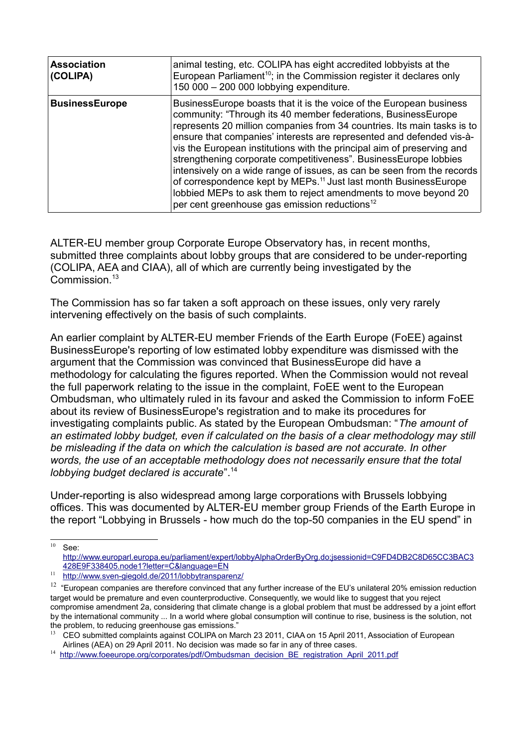| <b>Association</b><br>(COLIPA) | animal testing, etc. COLIPA has eight accredited lobbyists at the<br>European Parliament <sup>10</sup> ; in the Commission register it declares only<br>150 000 - 200 000 lobbying expenditure.                                                                                                                                                                                                                                                                                                                                                                                                                                                                                                                                  |
|--------------------------------|----------------------------------------------------------------------------------------------------------------------------------------------------------------------------------------------------------------------------------------------------------------------------------------------------------------------------------------------------------------------------------------------------------------------------------------------------------------------------------------------------------------------------------------------------------------------------------------------------------------------------------------------------------------------------------------------------------------------------------|
| <b>BusinessEurope</b>          | Business Europe boasts that it is the voice of the European business<br>community: "Through its 40 member federations, BusinessEurope<br>represents 20 million companies from 34 countries. Its main tasks is to<br>ensure that companies' interests are represented and defended vis-à-<br>vis the European institutions with the principal aim of preserving and<br>strengthening corporate competitiveness". BusinessEurope lobbies<br>intensively on a wide range of issues, as can be seen from the records<br>of correspondence kept by MEPs. <sup>11</sup> Just last month BusinessEurope<br>lobbied MEPs to ask them to reject amendments to move beyond 20<br>per cent greenhouse gas emission reductions <sup>12</sup> |

ALTER-EU member group Corporate Europe Observatory has, in recent months, submitted three complaints about lobby groups that are considered to be under-reporting (COLIPA, AEA and CIAA), all of which are currently being investigated by the Commission.<sup>[13](#page-3-3)</sup>

The Commission has so far taken a soft approach on these issues, only very rarely intervening effectively on the basis of such complaints.

An earlier complaint by ALTER-EU member Friends of the Earth Europe (FoEE) against BusinessEurope's reporting of low estimated lobby expenditure was dismissed with the argument that the Commission was convinced that BusinessEurope did have a methodology for calculating the figures reported. When the Commission would not reveal the full paperwork relating to the issue in the complaint, FoEE went to the European Ombudsman, who ultimately ruled in its favour and asked the Commission to inform FoEE about its review of BusinessEurope's registration and to make its procedures for investigating complaints public. As stated by the European Ombudsman: "*The amount of an estimated lobby budget, even if calculated on the basis of a clear methodology may still be misleading if the data on which the calculation is based are not accurate. In other words, the use of an acceptable methodology does not necessarily ensure that the total lobbying budget declared is accurate*".[14](#page-3-4)

Under-reporting is also widespread among large corporations with Brussels lobbying offices. This was documented by ALTER-EU member group Friends of the Earth Europe in the report "Lobbying in Brussels - how much do the top-50 companies in the EU spend" in

 $10$  See:

<span id="page-3-0"></span>[http://www.europarl.europa.eu/parliament/expert/lobbyAlphaOrderByOrg.do;jsessionid=C9FD4DB2C8D65CC3BAC3](http://www.europarl.europa.eu/parliament/expert/lobbyAlphaOrderByOrg.do;jsessionid=C9FD4DB2C8D65CC3BAC3428E9F338405.node1?letter=C&language=EN) [428E9F338405.node1?letter=C&language=EN](http://www.europarl.europa.eu/parliament/expert/lobbyAlphaOrderByOrg.do;jsessionid=C9FD4DB2C8D65CC3BAC3428E9F338405.node1?letter=C&language=EN)

<span id="page-3-1"></span><sup>11</sup> <http://www.sven-giegold.de/2011/lobbytransparenz/>

<span id="page-3-2"></span> $12$  "European companies are therefore convinced that any further increase of the EU's unilateral 20% emission reduction target would be premature and even counterproductive. Consequently, we would like to suggest that you reject compromise amendment 2a, considering that climate change is a global problem that must be addressed by a joint effort by the international community ... In a world where global consumption will continue to rise, business is the solution, not the problem, to reducing greenhouse gas emissions."

<span id="page-3-3"></span><sup>&</sup>lt;sup>13</sup> CEO submitted complaints against COLIPA on March 23 2011, CIAA on 15 April 2011, Association of European Airlines (AEA) on 29 April 2011. No decision was made so far in any of three cases.

<span id="page-3-4"></span><sup>&</sup>lt;sup>14</sup> [http://www.foeeurope.org/corporates/pdf/Ombudsman\\_decision\\_BE\\_registration\\_April\\_2011.pdf](http://www.foeeurope.org/corporates/pdf/Ombudsman_decision_BE_registration_April_2011.pdf)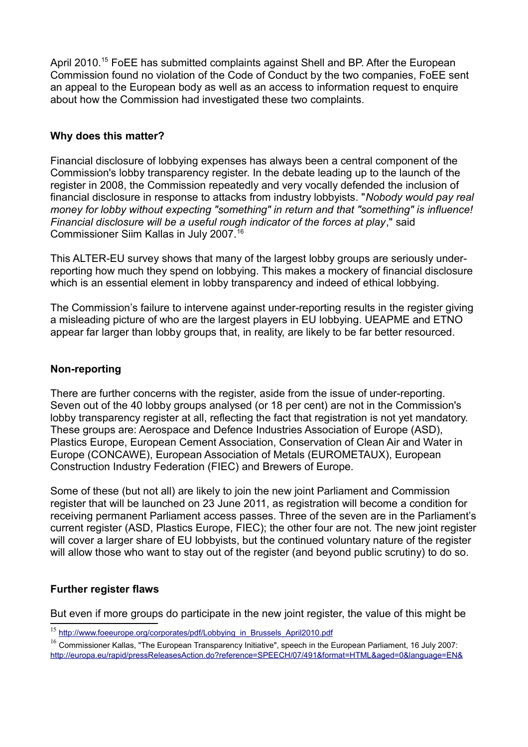April 2010.<sup>[15](#page-4-0)</sup> FoEE has submitted complaints against Shell and BP. After the European Commission found no violation of the Code of Conduct by the two companies, FoEE sent an appeal to the European body as well as an access to information request to enquire about how the Commission had investigated these two complaints.

## **Why does this matter?**

Financial disclosure of lobbying expenses has always been a central component of the Commission's lobby transparency register. In the debate leading up to the launch of the register in 2008, the Commission repeatedly and very vocally defended the inclusion of financial disclosure in response to attacks from industry lobbyists. "*Nobody would pay real money for lobby without expecting "something" in return and that "something" is influence! Financial disclosure will be a useful rough indicator of the forces at play*," said Commissioner Siim Kallas in July 2007.<sup>[16](#page-4-1)</sup>

This ALTER-EU survey shows that many of the largest lobby groups are seriously underreporting how much they spend on lobbying. This makes a mockery of financial disclosure which is an essential element in lobby transparency and indeed of ethical lobbying.

The Commission's failure to intervene against under-reporting results in the register giving a misleading picture of who are the largest players in EU lobbying. UEAPME and ETNO appear far larger than lobby groups that, in reality, are likely to be far better resourced.

## **Non-reporting**

There are further concerns with the register, aside from the issue of under-reporting. Seven out of the 40 lobby groups analysed (or 18 per cent) are not in the Commission's lobby transparency register at all, reflecting the fact that registration is not yet mandatory. These groups are: Aerospace and Defence Industries Association of Europe (ASD), Plastics Europe, European Cement Association, Conservation of Clean Air and Water in Europe (CONCAWE), European Association of Metals (EUROMETAUX), European Construction Industry Federation (FIEC) and Brewers of Europe.

Some of these (but not all) are likely to join the new joint Parliament and Commission register that will be launched on 23 June 2011, as registration will become a condition for receiving permanent Parliament access passes. Three of the seven are in the Parliament's current register (ASD, Plastics Europe, FIEC); the other four are not. The new joint register will cover a larger share of EU lobbyists, but the continued voluntary nature of the register will allow those who want to stay out of the register (and beyond public scrutiny) to do so.

#### **Further register flaws**

But even if more groups do participate in the new joint register, the value of this might be

<span id="page-4-0"></span><sup>&</sup>lt;sup>15</sup> [http://www.foeeurope.org/corporates/pdf/Lobbying\\_in\\_Brussels\\_April2010.pdf](http://www.foeeurope.org/corporates/pdf/Lobbying_in_Brussels_April2010.pdf)

<span id="page-4-1"></span><sup>&</sup>lt;sup>16</sup> Commissioner Kallas, "The European Transparency Initiative", speech in the European Parliament, 16 July 2007; <http://europa.eu/rapid/pressReleasesAction.do?reference=SPEECH/07/491&format=HTML&aged=0&language=EN&>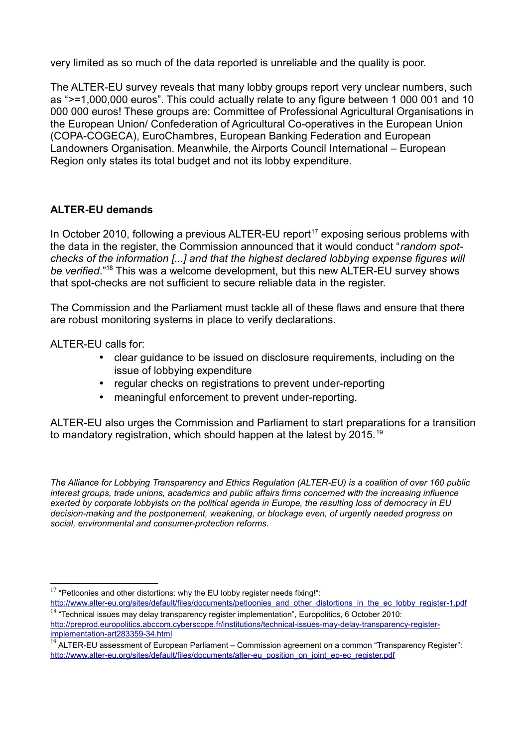very limited as so much of the data reported is unreliable and the quality is poor.

The ALTER-EU survey reveals that many lobby groups report very unclear numbers, such as ">=1,000,000 euros". This could actually relate to any figure between 1 000 001 and 10 000 000 euros! These groups are: Committee of Professional Agricultural Organisations in the European Union/ Confederation of Agricultural Co-operatives in the European Union (COPA-COGECA), EuroChambres, European Banking Federation and European Landowners Organisation. Meanwhile, the Airports Council International – European Region only states its total budget and not its lobby expenditure.

#### **ALTER-EU demands**

In October 2010, following a previous  $ALTER-EU$  report<sup>[17](#page-5-0)</sup> exposing serious problems with the data in the register, the Commission announced that it would conduct "*random spotchecks of the information [...] and that the highest declared lobbying expense figures will be verified*."[18](#page-5-1) This was a welcome development, but this new ALTER-EU survey shows that spot-checks are not sufficient to secure reliable data in the register.

The Commission and the Parliament must tackle all of these flaws and ensure that there are robust monitoring systems in place to verify declarations.

ALTER-EU calls for:

- clear guidance to be issued on disclosure requirements, including on the issue of lobbying expenditure
- regular checks on registrations to prevent under-reporting
- meaningful enforcement to prevent under-reporting.

ALTER-EU also urges the Commission and Parliament to start preparations for a transition to mandatory registration, which should happen at the latest by 2015.<sup>[19](#page-5-2)</sup>

*The Alliance for Lobbying Transparency and Ethics Regulation (ALTER-EU) is a coalition of over 160 public interest groups, trade unions, academics and public affairs firms concerned with the increasing influence exerted by corporate lobbyists on the political agenda in Europe, the resulting loss of democracy in EU decision-making and the postponement, weakening, or blockage even, of urgently needed progress on social, environmental and consumer-protection reforms.*

<span id="page-5-0"></span> $17$  "Petloonies and other distortions: why the EU lobby register needs fixing!":

<span id="page-5-1"></span>[http://www.alter-eu.org/sites/default/files/documents/petloonies\\_and\\_other\\_distortions\\_in\\_the\\_ec\\_lobby\\_register-1.pdf](http://www.alter-eu.org/sites/default/files/documents/petloonies_and_other_distortions_in_the_ec_lobby_register-1.pdf)  $18$  "Technical issues may delay transparency register implementation", Europolitics, 6 October 2010:

[http://preprod.europolitics.abccom.cyberscope.fr/institutions/technical-issues-may-delay-transparency-register](http://preprod.europolitics.abccom.cyberscope.fr/institutions/technical-issues-may-delay-transparency-register-implementation-art283359-34.html)[implementation-art283359-34.html](http://preprod.europolitics.abccom.cyberscope.fr/institutions/technical-issues-may-delay-transparency-register-implementation-art283359-34.html)

<span id="page-5-2"></span> $19$  ALTER-EU assessment of European Parliament – Commission agreement on a common "Transparency Register": [http://www.alter-eu.org/sites/default/files/documents/alter-eu\\_position\\_on\\_joint\\_ep-ec\\_register.pdf](http://www.alter-eu.org/sites/default/files/documents/alter-eu_position_on_joint_ep-ec_register.pdf)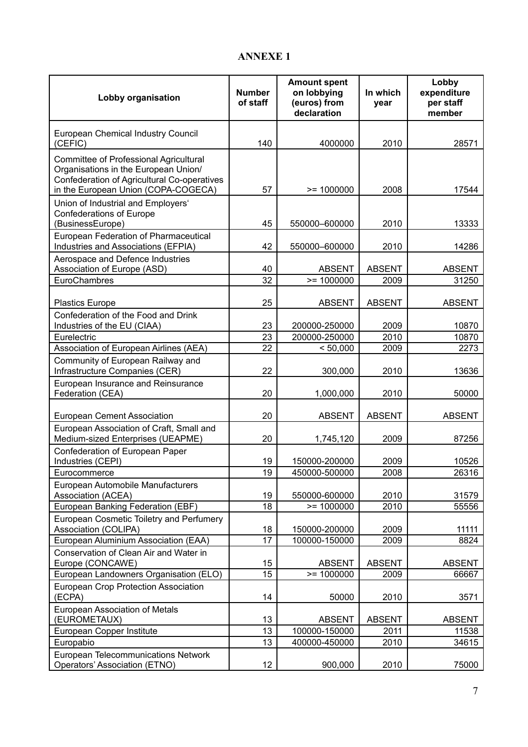## **ANNEXE 1**

| Lobby organisation                                                                                                                                                          | <b>Number</b><br>of staff | <b>Amount spent</b><br>on lobbying<br>(euros) from<br>declaration | In which<br>year      | Lobby<br>expenditure<br>per staff<br>member |
|-----------------------------------------------------------------------------------------------------------------------------------------------------------------------------|---------------------------|-------------------------------------------------------------------|-----------------------|---------------------------------------------|
| European Chemical Industry Council<br>(CEFIC)                                                                                                                               | 140                       | 4000000                                                           | 2010                  | 28571                                       |
| <b>Committee of Professional Agricultural</b><br>Organisations in the European Union/<br>Confederation of Agricultural Co-operatives<br>in the European Union (COPA-COGECA) | 57                        | $>= 1000000$                                                      | 2008                  | 17544                                       |
| Union of Industrial and Employers'<br><b>Confederations of Europe</b><br>(BusinessEurope)                                                                                   | 45                        | 550000-600000                                                     | 2010                  | 13333                                       |
| European Federation of Pharmaceutical<br>Industries and Associations (EFPIA)                                                                                                | 42                        | 550000-600000                                                     | 2010                  | 14286                                       |
| Aerospace and Defence Industries<br>Association of Europe (ASD)<br>EuroChambres                                                                                             | 40<br>32                  | <b>ABSENT</b><br>$>= 1000000$                                     | <b>ABSENT</b><br>2009 | <b>ABSENT</b><br>31250                      |
| <b>Plastics Europe</b>                                                                                                                                                      | 25                        | <b>ABSENT</b>                                                     | <b>ABSENT</b>         | <b>ABSENT</b>                               |
| Confederation of the Food and Drink<br>Industries of the EU (CIAA)                                                                                                          | 23                        | 200000-250000                                                     | 2009                  | 10870                                       |
| Eurelectric                                                                                                                                                                 | 23                        | 200000-250000                                                     | 2010                  | 10870                                       |
| Association of European Airlines (AEA)                                                                                                                                      | 22                        | < 50,000                                                          | 2009                  | 2273                                        |
| Community of European Railway and<br>Infrastructure Companies (CER)                                                                                                         | 22                        | 300,000                                                           | 2010                  | 13636                                       |
| European Insurance and Reinsurance<br>Federation (CEA)                                                                                                                      | 20                        | 1,000,000                                                         | 2010                  | 50000                                       |
| <b>European Cement Association</b>                                                                                                                                          | 20                        | <b>ABSENT</b>                                                     | <b>ABSENT</b>         | <b>ABSENT</b>                               |
| European Association of Craft, Small and<br>Medium-sized Enterprises (UEAPME)                                                                                               | 20                        | 1,745,120                                                         | 2009                  | 87256                                       |
| Confederation of European Paper<br>Industries (CEPI)                                                                                                                        | 19                        | 150000-200000                                                     | 2009                  | 10526                                       |
| Eurocommerce                                                                                                                                                                | 19                        | 450000-500000                                                     | 2008                  | 26316                                       |
| European Automobile Manufacturers<br>Association (ACEA)                                                                                                                     | 19                        | 550000-600000                                                     | 2010                  | 31579                                       |
| European Banking Federation (EBF)                                                                                                                                           | 18                        | $= 1000000$                                                       | 2010                  | 55556                                       |
| European Cosmetic Toiletry and Perfumery<br>Association (COLIPA)                                                                                                            | 18                        | 150000-200000                                                     | 2009                  | 11111                                       |
| European Aluminium Association (EAA)                                                                                                                                        | 17                        | 100000-150000                                                     | 2009                  | 8824                                        |
| Conservation of Clean Air and Water in<br>Europe (CONCAWE)                                                                                                                  | 15                        | <b>ABSENT</b>                                                     | <b>ABSENT</b>         | <b>ABSENT</b>                               |
| European Landowners Organisation (ELO)                                                                                                                                      | 15                        | $= 1000000$                                                       | 2009                  | 66667                                       |
| European Crop Protection Association<br>(ECPA)                                                                                                                              | 14                        | 50000                                                             | 2010                  | 3571                                        |
| European Association of Metals<br>(EUROMETAUX)                                                                                                                              | 13                        | <b>ABSENT</b>                                                     | <b>ABSENT</b>         | <b>ABSENT</b>                               |
| European Copper Institute                                                                                                                                                   | 13                        | 100000-150000                                                     | 2011                  | 11538                                       |
| Europabio                                                                                                                                                                   | 13                        | 400000-450000                                                     | 2010                  | 34615                                       |
| <b>European Telecommunications Network</b><br>Operators' Association (ETNO)                                                                                                 | 12                        | 900,000                                                           | 2010                  | 75000                                       |